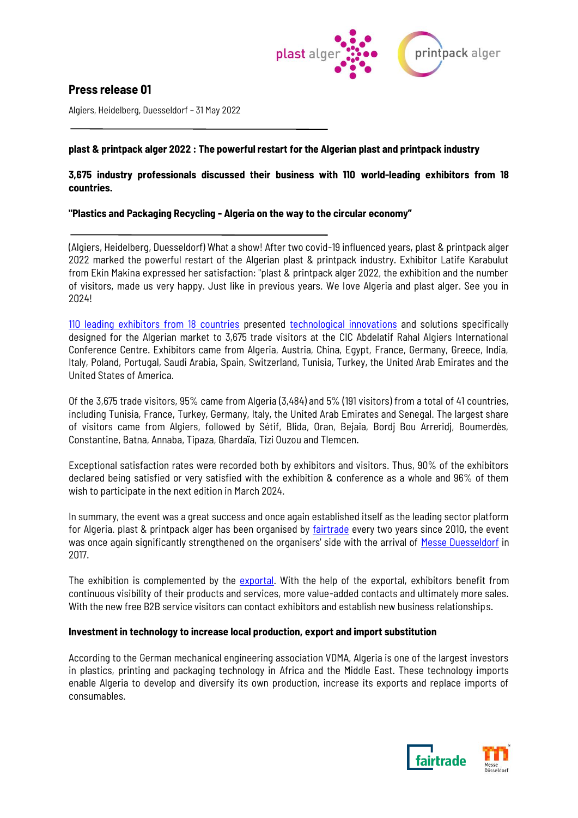

# **Press release 01**

Algiers, Heidelberg, Duesseldorf – 31 May 2022

## **plast & printpack alger 2022 : The powerful restart for the Algerian plast and printpack industry**

## **3,675 industry professionals discussed their business with 110 world-leading exhibitors from 18 countries.**

## **"Plastics and Packaging Recycling - Algeria on the way to the circular economy"**

(Algiers, Heidelberg, Duesseldorf) What a show! After two covid-19 influenced years, plast & printpack alger 2022 marked the powerful restart of the Algerian plast & printpack industry. Exhibitor Latife Karabulut from Ekin Makina expressed her satisfaction: "plast & printpack alger 2022, the exhibition and the number of visitors, made us very happy. Just like in previous years. We love Algeria and plast alger. See you in 2024!

[110 leading exhibitors from 18 countries](https://algerie.fairtrade-messe.de/newfront/search/exhibitors#pagetitle) presented [technological innovations](https://algerie.fairtrade-messe.de/newfront/marketplace/products) and solutions specifically designed for the Algerian market to 3,675 trade visitors at the CIC Abdelatif Rahal Algiers International Conference Centre. Exhibitors came from Algeria, Austria, China, Egypt, France, Germany, Greece, India, Italy, Poland, Portugal, Saudi Arabia, Spain, Switzerland, Tunisia, Turkey, the United Arab Emirates and the United States of America.

Of the 3,675 trade visitors, 95% came from Algeria (3,484) and 5% (191 visitors) from a total of 41 countries, including Tunisia, France, Turkey, Germany, Italy, the United Arab Emirates and Senegal. The largest share of visitors came from Algiers, followed by Sétif, Blida, Oran, Bejaia, Bordj Bou Arreridj, Boumerdès, Constantine, Batna, Annaba, Tipaza, Ghardaïa, Tizi Ouzou and Tlemcen.

Exceptional satisfaction rates were recorded both by exhibitors and visitors. Thus, 90% of the exhibitors declared being satisfied or very satisfied with the exhibition & conference as a whole and 96% of them wish to participate in the next edition in March 2024.

In summary, the event was a great success and once again established itself as the leading sector platform for Algeria. plast & printpack alger has been organised by [fairtrade](https://www.fairtrade-messe.de/) every two years since 2010, the event was once again significantly strengthened on the organisers' side with the arrival of [Messe Duesseldorf](https://www.k-globalgate.com/?_ga=2.230622620.1406414428.1619430629-1582107385.1619430629) in 2017.

The exhibition is complemented by the [exportal.](https://algerie.fairtrade-messe.de/newfront/search/exhibitors#pagetitle) With the help of the [exportal,](https://algerie.fairtrade-messe.de/newfront/search/exhibitors#pagetitle) exhibitors benefit from continuous visibility of their products and services, more value-added contacts and ultimately more sales. With the new free B2B service visitors can contact exhibitors and establish new business relationships.

### **Investment in technology to increase local production, export and import substitution**

According to the German mechanical engineering association VDMA, Algeria is one of the largest investors in plastics, printing and packaging technology in Africa and the Middle East. These technology imports enable Algeria to develop and diversify its own production, increase its exports and replace imports of consumables.

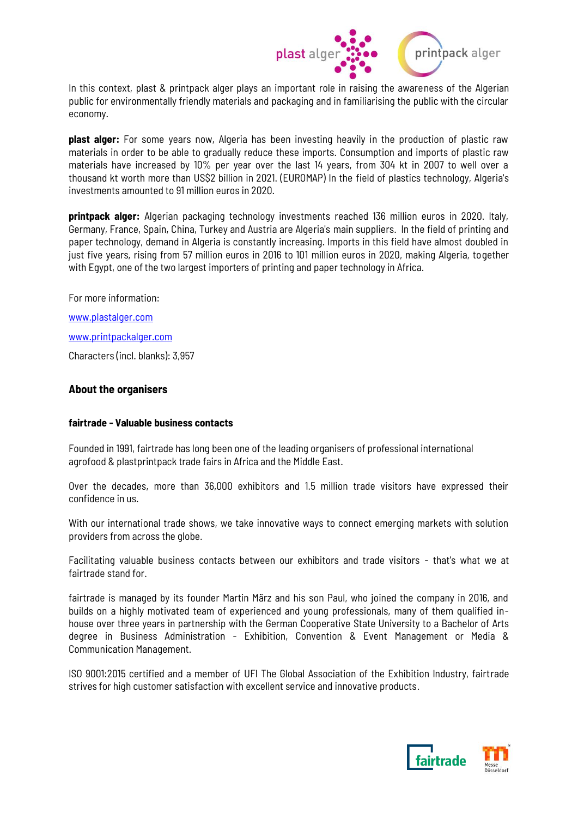

In this context, plast & printpack alger plays an important role in raising the awareness of the Algerian public for environmentally friendly materials and packaging and in familiarising the public with the circular economy.

**plast alger:** For some years now, Algeria has been investing heavily in the production of plastic raw materials in order to be able to gradually reduce these imports. Consumption and imports of plastic raw materials have increased by 10% per year over the last 14 years, from 304 kt in 2007 to well over a thousand kt worth more than US\$2 billion in 2021. (EUROMAP) In the field of plastics technology, Algeria's investments amounted to 91 million euros in 2020.

**printpack alger:** Algerian packaging technology investments reached 136 million euros in 2020. Italy, Germany, France, Spain, China, Turkey and Austria are Algeria's main suppliers. In the field of printing and paper technology, demand in Algeria is constantly increasing. Imports in this field have almost doubled in just five years, rising from 57 million euros in 2016 to 101 million euros in 2020, making Algeria, together with Egypt, one of the two largest importers of printing and paper technology in Africa.

For more information:

[www.plastalger.com](http://www.plastalger.com/)

[www.printpackalger.com](http://www.printpackalger.com/)

Characters (incl. blanks): 3,957

## **About the organisers**

## **fairtrade - Valuable business contacts**

Founded in 1991, fairtrade has long been one of the leading organisers of professional international agrofood & plastprintpack trade fairs in Africa and the Middle East.

Over the decades, more than 36,000 exhibitors and 1.5 million trade visitors have expressed their confidence in us.

With our international trade shows, we take innovative ways to connect emerging markets with solution providers from across the globe.

Facilitating valuable business contacts between our exhibitors and trade visitors - that's what we at fairtrade stand for.

fairtrade is managed by its founder Martin März and his son Paul, who joined the company in 2016, and builds on a highly motivated team of experienced and young professionals, many of them qualified inhouse over three years in partnership with the German Cooperative State University to a Bachelor of Arts degree in Business Administration - Exhibition, Convention & Event Management or Media & Communication Management.

ISO 9001:2015 certified and a member of UFI The Global Association of the Exhibition Industry, fairtrade strives for high customer satisfaction with excellent service and innovative products.